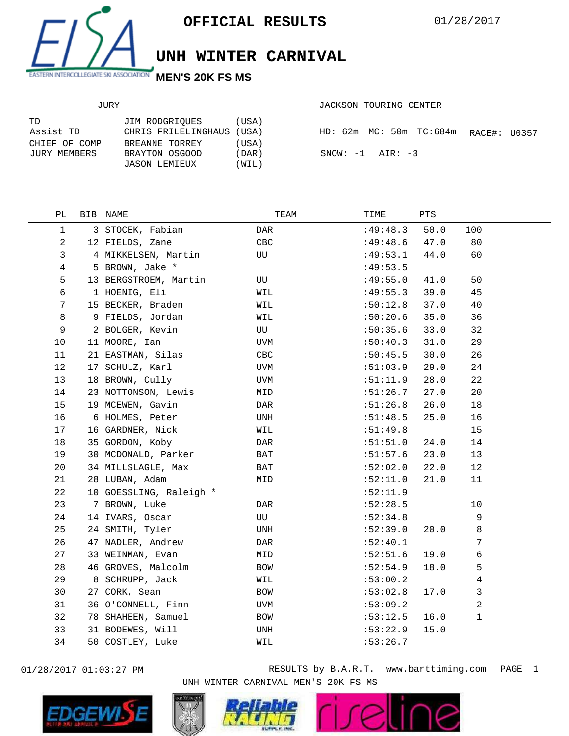

## **UNH WINTER CARNIVAL**

## JURY

| JACKSON TOURING CENTER |  |
|------------------------|--|
|                        |  |

| TD            | JIM RODGRIOUES            | (USA) |
|---------------|---------------------------|-------|
| Assist TD     | CHRIS FRILELINGHAUS (USA) |       |
| CHIEF OF COMP | BREANNE TORREY            | (USA) |
| JURY MEMBERS  | BRAYTON OSGOOD            | (DAR) |
|               | JASON LEMIEUX             | (WIL) |

|  |  |                      | HD: 62m MC: 50m TC:684m RACE#: U0357 |  |
|--|--|----------------------|--------------------------------------|--|
|  |  | $SNOW: -1$ $AIR: -3$ |                                      |  |

| $\mathbf{1}$<br>3 STOCEK, Fabian<br>:49:48.3<br>50.0<br>100<br>DAR<br>$\overline{a}$<br>80<br>12 FIELDS, Zane<br>CBC<br>:49:48.6<br>47.0<br>3<br>4 MIKKELSEN, Martin<br>60<br>UU<br>:49:53.1<br>44.0<br>$\overline{4}$<br>5 BROWN, Jake *<br>:49:53.5<br>5<br>50<br>13 BERGSTROEM, Martin<br>:49:55.0<br>41.0<br>UU<br>6<br>39.0<br>45<br>1 HOENIG, Eli<br>:49:55.3<br>WIL<br>37.0<br>40<br>7<br>15 BECKER, Braden<br>WIL<br>:50:12.8<br>8<br>36<br>9 FIELDS, Jordan<br>:50:20.6<br>35.0<br>WIL<br>9<br>2 BOLGER, Kevin<br>:50:35.6<br>33.0<br>32<br>UU<br>29<br>10<br>11 MOORE, Ian<br>:50:40.3<br>31.0<br>UVM<br>21 EASTMAN, Silas<br>11<br>:50:45.5<br>30.0<br>26<br>CBC<br>12<br>17 SCHULZ, Karl<br>24<br>:51:03.9<br>29.0<br>UVM<br>22<br>13<br>18 BROWN, Cully<br>:51:11.9<br>28.0<br>UVM<br>14<br>23 NOTTONSON, Lewis<br>:51:26.7<br>27.0<br>20<br>MID<br>15<br>19 MCEWEN, Gavin<br>:51:26.8<br>26.0<br>18<br>DAR<br>16<br>6 HOLMES, Peter<br>UNH<br>:51:48.5<br>25.0<br>16<br>17<br>16 GARDNER, Nick<br>15<br>WIL<br>:51:49.8<br>35 GORDON, Koby<br>18<br>:51:51.0<br>24.0<br>14<br>DAR<br>19<br>30 MCDONALD, Parker<br>23.0<br>BAT<br>:51:57.6<br>13<br>22.0<br>12<br>20<br>34 MILLSLAGLE, Max<br>BAT<br>:52:02.0<br>21<br>21.0<br>28 LUBAN, Adam<br>:52:11.0<br>11<br>MID<br>22<br>10 GOESSLING, Raleigh *<br>:52:11.9<br>23<br>:52:28.5<br>7 BROWN, Luke<br>10<br>DAR<br>24<br>14 IVARS, Oscar<br>9<br>UU<br>:52:34.8<br>24 SMITH, Tyler<br>8<br>25<br>:52:39.0<br>20.0<br>UNH<br>7<br>26<br>47 NADLER, Andrew<br>:52:40.1<br>DAR<br>27<br>6<br>:52:51.6<br>19.0<br>33 WEINMAN, Evan<br>MID<br>5<br>28<br>46 GROVES, Malcolm<br>:52:54.9<br>18.0<br>BOW<br>29<br>$\overline{4}$<br>8 SCHRUPP, Jack<br>:53:00.2<br>WIL<br>$\mathfrak{Z}$<br>30<br>27 CORK, Sean<br>:53:02.8<br>17.0<br>BOW<br>2<br>31<br>36 O'CONNELL, Finn<br>:53:09.2<br>UVM<br>$\mathbf{1}$<br>32<br>78 SHAHEEN, Samuel<br>:53:12.5<br>16.0<br><b>BOW</b><br>33<br>31 BODEWES, Will<br>:53:22.9<br>15.0<br>UNH<br>34<br>50 COSTLEY, Luke<br>:53:26.7<br>WIL | РL | BIB NAME | TEAM | TIME | PTS |  |
|------------------------------------------------------------------------------------------------------------------------------------------------------------------------------------------------------------------------------------------------------------------------------------------------------------------------------------------------------------------------------------------------------------------------------------------------------------------------------------------------------------------------------------------------------------------------------------------------------------------------------------------------------------------------------------------------------------------------------------------------------------------------------------------------------------------------------------------------------------------------------------------------------------------------------------------------------------------------------------------------------------------------------------------------------------------------------------------------------------------------------------------------------------------------------------------------------------------------------------------------------------------------------------------------------------------------------------------------------------------------------------------------------------------------------------------------------------------------------------------------------------------------------------------------------------------------------------------------------------------------------------------------------------------------------------------------------------------------------------------------------------------------------------------------------------------------------------------------------------------------------------------------------------------------------------------------------------------------------------------------------------------------------------------|----|----------|------|------|-----|--|
|                                                                                                                                                                                                                                                                                                                                                                                                                                                                                                                                                                                                                                                                                                                                                                                                                                                                                                                                                                                                                                                                                                                                                                                                                                                                                                                                                                                                                                                                                                                                                                                                                                                                                                                                                                                                                                                                                                                                                                                                                                          |    |          |      |      |     |  |
|                                                                                                                                                                                                                                                                                                                                                                                                                                                                                                                                                                                                                                                                                                                                                                                                                                                                                                                                                                                                                                                                                                                                                                                                                                                                                                                                                                                                                                                                                                                                                                                                                                                                                                                                                                                                                                                                                                                                                                                                                                          |    |          |      |      |     |  |
|                                                                                                                                                                                                                                                                                                                                                                                                                                                                                                                                                                                                                                                                                                                                                                                                                                                                                                                                                                                                                                                                                                                                                                                                                                                                                                                                                                                                                                                                                                                                                                                                                                                                                                                                                                                                                                                                                                                                                                                                                                          |    |          |      |      |     |  |
|                                                                                                                                                                                                                                                                                                                                                                                                                                                                                                                                                                                                                                                                                                                                                                                                                                                                                                                                                                                                                                                                                                                                                                                                                                                                                                                                                                                                                                                                                                                                                                                                                                                                                                                                                                                                                                                                                                                                                                                                                                          |    |          |      |      |     |  |
|                                                                                                                                                                                                                                                                                                                                                                                                                                                                                                                                                                                                                                                                                                                                                                                                                                                                                                                                                                                                                                                                                                                                                                                                                                                                                                                                                                                                                                                                                                                                                                                                                                                                                                                                                                                                                                                                                                                                                                                                                                          |    |          |      |      |     |  |
|                                                                                                                                                                                                                                                                                                                                                                                                                                                                                                                                                                                                                                                                                                                                                                                                                                                                                                                                                                                                                                                                                                                                                                                                                                                                                                                                                                                                                                                                                                                                                                                                                                                                                                                                                                                                                                                                                                                                                                                                                                          |    |          |      |      |     |  |
|                                                                                                                                                                                                                                                                                                                                                                                                                                                                                                                                                                                                                                                                                                                                                                                                                                                                                                                                                                                                                                                                                                                                                                                                                                                                                                                                                                                                                                                                                                                                                                                                                                                                                                                                                                                                                                                                                                                                                                                                                                          |    |          |      |      |     |  |
|                                                                                                                                                                                                                                                                                                                                                                                                                                                                                                                                                                                                                                                                                                                                                                                                                                                                                                                                                                                                                                                                                                                                                                                                                                                                                                                                                                                                                                                                                                                                                                                                                                                                                                                                                                                                                                                                                                                                                                                                                                          |    |          |      |      |     |  |
|                                                                                                                                                                                                                                                                                                                                                                                                                                                                                                                                                                                                                                                                                                                                                                                                                                                                                                                                                                                                                                                                                                                                                                                                                                                                                                                                                                                                                                                                                                                                                                                                                                                                                                                                                                                                                                                                                                                                                                                                                                          |    |          |      |      |     |  |
|                                                                                                                                                                                                                                                                                                                                                                                                                                                                                                                                                                                                                                                                                                                                                                                                                                                                                                                                                                                                                                                                                                                                                                                                                                                                                                                                                                                                                                                                                                                                                                                                                                                                                                                                                                                                                                                                                                                                                                                                                                          |    |          |      |      |     |  |
|                                                                                                                                                                                                                                                                                                                                                                                                                                                                                                                                                                                                                                                                                                                                                                                                                                                                                                                                                                                                                                                                                                                                                                                                                                                                                                                                                                                                                                                                                                                                                                                                                                                                                                                                                                                                                                                                                                                                                                                                                                          |    |          |      |      |     |  |
|                                                                                                                                                                                                                                                                                                                                                                                                                                                                                                                                                                                                                                                                                                                                                                                                                                                                                                                                                                                                                                                                                                                                                                                                                                                                                                                                                                                                                                                                                                                                                                                                                                                                                                                                                                                                                                                                                                                                                                                                                                          |    |          |      |      |     |  |
|                                                                                                                                                                                                                                                                                                                                                                                                                                                                                                                                                                                                                                                                                                                                                                                                                                                                                                                                                                                                                                                                                                                                                                                                                                                                                                                                                                                                                                                                                                                                                                                                                                                                                                                                                                                                                                                                                                                                                                                                                                          |    |          |      |      |     |  |
|                                                                                                                                                                                                                                                                                                                                                                                                                                                                                                                                                                                                                                                                                                                                                                                                                                                                                                                                                                                                                                                                                                                                                                                                                                                                                                                                                                                                                                                                                                                                                                                                                                                                                                                                                                                                                                                                                                                                                                                                                                          |    |          |      |      |     |  |
|                                                                                                                                                                                                                                                                                                                                                                                                                                                                                                                                                                                                                                                                                                                                                                                                                                                                                                                                                                                                                                                                                                                                                                                                                                                                                                                                                                                                                                                                                                                                                                                                                                                                                                                                                                                                                                                                                                                                                                                                                                          |    |          |      |      |     |  |
|                                                                                                                                                                                                                                                                                                                                                                                                                                                                                                                                                                                                                                                                                                                                                                                                                                                                                                                                                                                                                                                                                                                                                                                                                                                                                                                                                                                                                                                                                                                                                                                                                                                                                                                                                                                                                                                                                                                                                                                                                                          |    |          |      |      |     |  |
|                                                                                                                                                                                                                                                                                                                                                                                                                                                                                                                                                                                                                                                                                                                                                                                                                                                                                                                                                                                                                                                                                                                                                                                                                                                                                                                                                                                                                                                                                                                                                                                                                                                                                                                                                                                                                                                                                                                                                                                                                                          |    |          |      |      |     |  |
|                                                                                                                                                                                                                                                                                                                                                                                                                                                                                                                                                                                                                                                                                                                                                                                                                                                                                                                                                                                                                                                                                                                                                                                                                                                                                                                                                                                                                                                                                                                                                                                                                                                                                                                                                                                                                                                                                                                                                                                                                                          |    |          |      |      |     |  |
|                                                                                                                                                                                                                                                                                                                                                                                                                                                                                                                                                                                                                                                                                                                                                                                                                                                                                                                                                                                                                                                                                                                                                                                                                                                                                                                                                                                                                                                                                                                                                                                                                                                                                                                                                                                                                                                                                                                                                                                                                                          |    |          |      |      |     |  |
|                                                                                                                                                                                                                                                                                                                                                                                                                                                                                                                                                                                                                                                                                                                                                                                                                                                                                                                                                                                                                                                                                                                                                                                                                                                                                                                                                                                                                                                                                                                                                                                                                                                                                                                                                                                                                                                                                                                                                                                                                                          |    |          |      |      |     |  |
|                                                                                                                                                                                                                                                                                                                                                                                                                                                                                                                                                                                                                                                                                                                                                                                                                                                                                                                                                                                                                                                                                                                                                                                                                                                                                                                                                                                                                                                                                                                                                                                                                                                                                                                                                                                                                                                                                                                                                                                                                                          |    |          |      |      |     |  |
|                                                                                                                                                                                                                                                                                                                                                                                                                                                                                                                                                                                                                                                                                                                                                                                                                                                                                                                                                                                                                                                                                                                                                                                                                                                                                                                                                                                                                                                                                                                                                                                                                                                                                                                                                                                                                                                                                                                                                                                                                                          |    |          |      |      |     |  |
|                                                                                                                                                                                                                                                                                                                                                                                                                                                                                                                                                                                                                                                                                                                                                                                                                                                                                                                                                                                                                                                                                                                                                                                                                                                                                                                                                                                                                                                                                                                                                                                                                                                                                                                                                                                                                                                                                                                                                                                                                                          |    |          |      |      |     |  |
|                                                                                                                                                                                                                                                                                                                                                                                                                                                                                                                                                                                                                                                                                                                                                                                                                                                                                                                                                                                                                                                                                                                                                                                                                                                                                                                                                                                                                                                                                                                                                                                                                                                                                                                                                                                                                                                                                                                                                                                                                                          |    |          |      |      |     |  |
|                                                                                                                                                                                                                                                                                                                                                                                                                                                                                                                                                                                                                                                                                                                                                                                                                                                                                                                                                                                                                                                                                                                                                                                                                                                                                                                                                                                                                                                                                                                                                                                                                                                                                                                                                                                                                                                                                                                                                                                                                                          |    |          |      |      |     |  |
|                                                                                                                                                                                                                                                                                                                                                                                                                                                                                                                                                                                                                                                                                                                                                                                                                                                                                                                                                                                                                                                                                                                                                                                                                                                                                                                                                                                                                                                                                                                                                                                                                                                                                                                                                                                                                                                                                                                                                                                                                                          |    |          |      |      |     |  |
|                                                                                                                                                                                                                                                                                                                                                                                                                                                                                                                                                                                                                                                                                                                                                                                                                                                                                                                                                                                                                                                                                                                                                                                                                                                                                                                                                                                                                                                                                                                                                                                                                                                                                                                                                                                                                                                                                                                                                                                                                                          |    |          |      |      |     |  |
|                                                                                                                                                                                                                                                                                                                                                                                                                                                                                                                                                                                                                                                                                                                                                                                                                                                                                                                                                                                                                                                                                                                                                                                                                                                                                                                                                                                                                                                                                                                                                                                                                                                                                                                                                                                                                                                                                                                                                                                                                                          |    |          |      |      |     |  |
|                                                                                                                                                                                                                                                                                                                                                                                                                                                                                                                                                                                                                                                                                                                                                                                                                                                                                                                                                                                                                                                                                                                                                                                                                                                                                                                                                                                                                                                                                                                                                                                                                                                                                                                                                                                                                                                                                                                                                                                                                                          |    |          |      |      |     |  |
|                                                                                                                                                                                                                                                                                                                                                                                                                                                                                                                                                                                                                                                                                                                                                                                                                                                                                                                                                                                                                                                                                                                                                                                                                                                                                                                                                                                                                                                                                                                                                                                                                                                                                                                                                                                                                                                                                                                                                                                                                                          |    |          |      |      |     |  |
|                                                                                                                                                                                                                                                                                                                                                                                                                                                                                                                                                                                                                                                                                                                                                                                                                                                                                                                                                                                                                                                                                                                                                                                                                                                                                                                                                                                                                                                                                                                                                                                                                                                                                                                                                                                                                                                                                                                                                                                                                                          |    |          |      |      |     |  |
|                                                                                                                                                                                                                                                                                                                                                                                                                                                                                                                                                                                                                                                                                                                                                                                                                                                                                                                                                                                                                                                                                                                                                                                                                                                                                                                                                                                                                                                                                                                                                                                                                                                                                                                                                                                                                                                                                                                                                                                                                                          |    |          |      |      |     |  |
|                                                                                                                                                                                                                                                                                                                                                                                                                                                                                                                                                                                                                                                                                                                                                                                                                                                                                                                                                                                                                                                                                                                                                                                                                                                                                                                                                                                                                                                                                                                                                                                                                                                                                                                                                                                                                                                                                                                                                                                                                                          |    |          |      |      |     |  |
|                                                                                                                                                                                                                                                                                                                                                                                                                                                                                                                                                                                                                                                                                                                                                                                                                                                                                                                                                                                                                                                                                                                                                                                                                                                                                                                                                                                                                                                                                                                                                                                                                                                                                                                                                                                                                                                                                                                                                                                                                                          |    |          |      |      |     |  |



01/28/2017 01:03:27 PM RESULTS by B.A.R.T. www.barttiming.com PAGE 1 UNH WINTER CARNIVAL MEN'S 20K FS MS

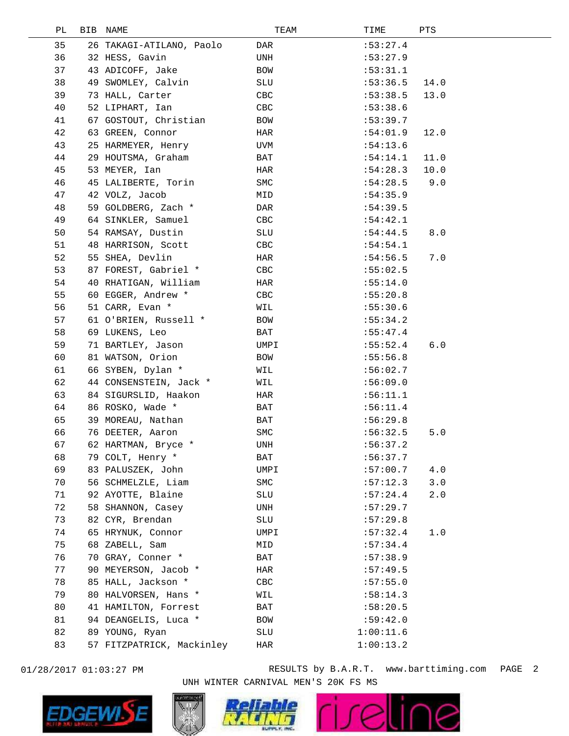| PЬ | BIB | NAME                      | TEAM       | TIME      | PTS  |  |
|----|-----|---------------------------|------------|-----------|------|--|
| 35 |     | 26 TAKAGI-ATILANO, Paolo  | DAR        | :53:27.4  |      |  |
| 36 |     | 32 HESS, Gavin            | UNH        | :53:27.9  |      |  |
| 37 |     | 43 ADICOFF, Jake          | BOW        | :53:31.1  |      |  |
| 38 |     | 49 SWOMLEY, Calvin        | SLU        | :53:36.5  | 14.0 |  |
| 39 |     | 73 HALL, Carter           | CBC        | :53:38.5  | 13.0 |  |
| 40 |     | 52 LIPHART, Ian           | CBC        | :53:38.6  |      |  |
| 41 |     | 67 GOSTOUT, Christian     | BOW        | :53:39.7  |      |  |
| 42 |     | 63 GREEN, Connor          | HAR        | :54:01.9  | 12.0 |  |
| 43 |     | 25 HARMEYER, Henry        | UVM        | :54:13.6  |      |  |
| 44 |     | 29 HOUTSMA, Graham        | BAT        | :54:14.1  | 11.0 |  |
| 45 |     | 53 MEYER, Ian             | HAR        | :54:28.3  | 10.0 |  |
| 46 |     | 45 LALIBERTE, Torin       | SMC        | :54:28.5  | 9.0  |  |
| 47 |     | 42 VOLZ, Jacob            | MID        | :54:35.9  |      |  |
| 48 |     | 59 GOLDBERG, Zach *       | DAR        | :54:39.5  |      |  |
| 49 |     | 64 SINKLER, Samuel        | CBC        | :54:42.1  |      |  |
| 50 |     | 54 RAMSAY, Dustin         | SLU        | :54:44.5  | 8.0  |  |
| 51 |     | 48 HARRISON, Scott        | CBC        | :54:54.1  |      |  |
| 52 |     | 55 SHEA, Devlin           | HAR        | :54:56.5  | 7.0  |  |
| 53 |     | 87 FOREST, Gabriel *      | CBC        | :55:02.5  |      |  |
| 54 |     | 40 RHATIGAN, William      | HAR        | :55:14.0  |      |  |
| 55 |     | 60 EGGER, Andrew *        | CBC        | :55:20.8  |      |  |
| 56 |     | 51 CARR, Evan *           | WIL        | :55:30.6  |      |  |
| 57 |     | 61 O'BRIEN, Russell *     | BOW        | :55:34.2  |      |  |
| 58 |     | 69 LUKENS, Leo            | BAT        | :55:47.4  |      |  |
| 59 |     | 71 BARTLEY, Jason         | UMPI       | :55:52.4  | 6.0  |  |
| 60 |     | 81 WATSON, Orion          | BOW        | :55:56.8  |      |  |
| 61 |     | 66 SYBEN, Dylan *         | WIL        | :56:02.7  |      |  |
| 62 |     | 44 CONSENSTEIN, Jack *    | WIL        | :56:09.0  |      |  |
| 63 |     | 84 SIGURSLID, Haakon      | HAR        | :56:11.1  |      |  |
| 64 |     | 86 ROSKO, Wade *          | BAT        | :56:11.4  |      |  |
| 65 |     | 39 MOREAU, Nathan         | BAT        | :56:29.8  |      |  |
| 66 |     | 76 DEETER, Aaron          | <b>SMC</b> | :56:32.5  | 5.0  |  |
| 67 |     | 62 HARTMAN, Bryce *       | UNH        | :56:37.2  |      |  |
| 68 |     | 79 COLT, Henry *          | BAT        | :56:37.7  |      |  |
| 69 |     | 83 PALUSZEK, John         | UMPI       | :57:00.7  | 4.0  |  |
| 70 |     | 56 SCHMELZLE, Liam        | <b>SMC</b> | :57:12.3  | 3.0  |  |
| 71 |     | 92 AYOTTE, Blaine         | SLU        | :57:24.4  | 2.0  |  |
| 72 |     | 58 SHANNON, Casey         | UNH        | :57:29.7  |      |  |
| 73 |     | 82 CYR, Brendan           | SLU        | :57:29.8  |      |  |
| 74 |     | 65 HRYNUK, Connor         | UMPI       | :57:32.4  | 1.0  |  |
| 75 |     | 68 ZABELL, Sam            | MID        | :57:34.4  |      |  |
| 76 |     | 70 GRAY, Conner *         | BAT        | :57:38.9  |      |  |
| 77 |     | 90 MEYERSON, Jacob *      | HAR        | :57:49.5  |      |  |
| 78 |     | 85 HALL, Jackson *        | CBC        | :57:55.0  |      |  |
| 79 |     | 80 HALVORSEN, Hans *      | WIL        | :58:14.3  |      |  |
| 80 |     | 41 HAMILTON, Forrest      | BAT        | :58:20.5  |      |  |
| 81 |     | 94 DEANGELIS, Luca *      | BOW        | :59:42.0  |      |  |
| 82 |     | 89 YOUNG, Ryan            | SLU        | 1:00:11.6 |      |  |
| 83 |     | 57 FITZPATRICK, Mackinley | HAR        | 1:00:13.2 |      |  |
|    |     |                           |            |           |      |  |



01/28/2017 01:03:27 PM RESULTS by B.A.R.T. www.barttiming.com PAGE 2 UNH WINTER CARNIVAL MEN'S 20K FS MS